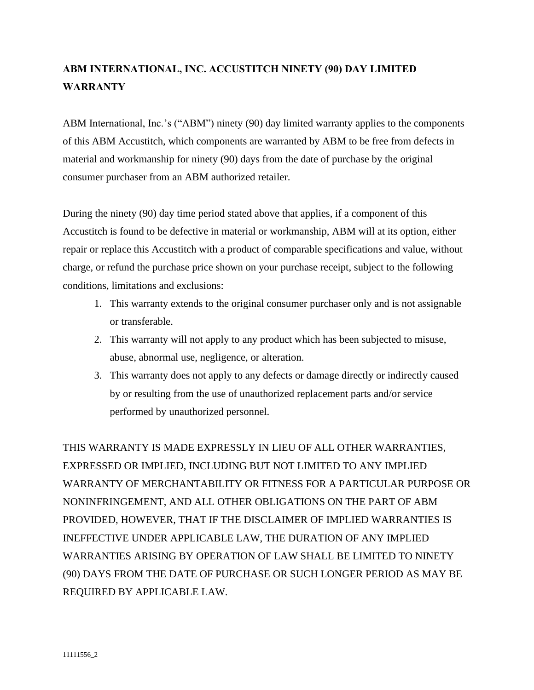## **ABM INTERNATIONAL, INC. ACCUSTITCH NINETY (90) DAY LIMITED WARRANTY**

ABM International, Inc.'s ("ABM") ninety (90) day limited warranty applies to the components of this ABM Accustitch, which components are warranted by ABM to be free from defects in material and workmanship for ninety (90) days from the date of purchase by the original consumer purchaser from an ABM authorized retailer.

During the ninety (90) day time period stated above that applies, if a component of this Accustitch is found to be defective in material or workmanship, ABM will at its option, either repair or replace this Accustitch with a product of comparable specifications and value, without charge, or refund the purchase price shown on your purchase receipt, subject to the following conditions, limitations and exclusions:

- 1. This warranty extends to the original consumer purchaser only and is not assignable or transferable.
- 2. This warranty will not apply to any product which has been subjected to misuse, abuse, abnormal use, negligence, or alteration.
- 3. This warranty does not apply to any defects or damage directly or indirectly caused by or resulting from the use of unauthorized replacement parts and/or service performed by unauthorized personnel.

THIS WARRANTY IS MADE EXPRESSLY IN LIEU OF ALL OTHER WARRANTIES, EXPRESSED OR IMPLIED, INCLUDING BUT NOT LIMITED TO ANY IMPLIED WARRANTY OF MERCHANTABILITY OR FITNESS FOR A PARTICULAR PURPOSE OR NONINFRINGEMENT, AND ALL OTHER OBLIGATIONS ON THE PART OF ABM PROVIDED, HOWEVER, THAT IF THE DISCLAIMER OF IMPLIED WARRANTIES IS INEFFECTIVE UNDER APPLICABLE LAW, THE DURATION OF ANY IMPLIED WARRANTIES ARISING BY OPERATION OF LAW SHALL BE LIMITED TO NINETY (90) DAYS FROM THE DATE OF PURCHASE OR SUCH LONGER PERIOD AS MAY BE REQUIRED BY APPLICABLE LAW.